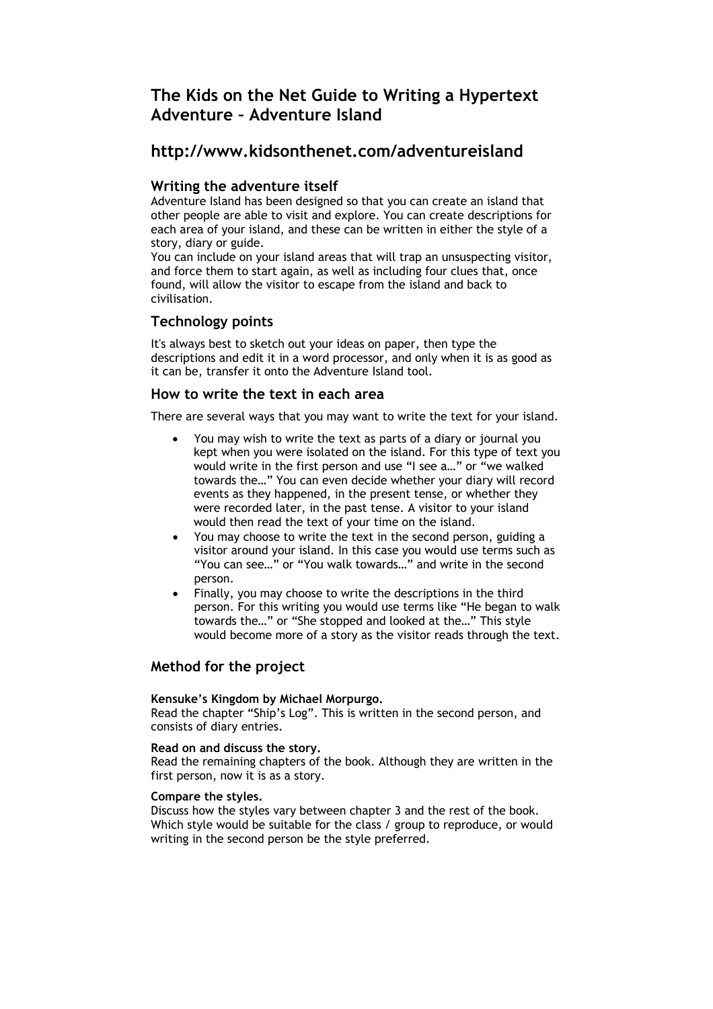# **The Kids on the Net Guide to Writing a Hypertext Adventure – Adventure Island**

# **http://www.kidsonthenet.com/adventureisland**

## **Writing the adventure itself**

Adventure Island has been designed so that you can create an island that other people are able to visit and explore. You can create descriptions for each area of your island, and these can be written in either the style of a story, diary or guide.

You can include on your island areas that will trap an unsuspecting visitor, and force them to start again, as well as including four clues that, once found, will allow the visitor to escape from the island and back to civilisation.

# **Technology points**

It's always best to sketch out your ideas on paper, then type the descriptions and edit it in a word processor, and only when it is as good as it can be, transfer it onto the Adventure Island tool.

## **How to write the text in each area**

There are several ways that you may want to write the text for your island.

- You may wish to write the text as parts of a diary or journal you kept when you were isolated on the island. For this type of text you would write in the first person and use "I see a…" or "we walked towards the…" You can even decide whether your diary will record events as they happened, in the present tense, or whether they were recorded later, in the past tense. A visitor to your island would then read the text of your time on the island.
- You may choose to write the text in the second person, guiding a visitor around your island. In this case you would use terms such as "You can see…" or "You walk towards…" and write in the second person.
- Finally, you may choose to write the descriptions in the third person. For this writing you would use terms like "He began to walk towards the…" or "She stopped and looked at the…" This style would become more of a story as the visitor reads through the text.

# **Method for the project**

### **Kensuke's Kingdom by Michael Morpurgo.**

Read the chapter "Ship's Log". This is written in the second person, and consists of diary entries.

### **Read on and discuss the story.**

Read the remaining chapters of the book. Although they are written in the first person, now it is as a story.

### **Compare the styles.**

Discuss how the styles vary between chapter 3 and the rest of the book. Which style would be suitable for the class / group to reproduce, or would writing in the second person be the style preferred.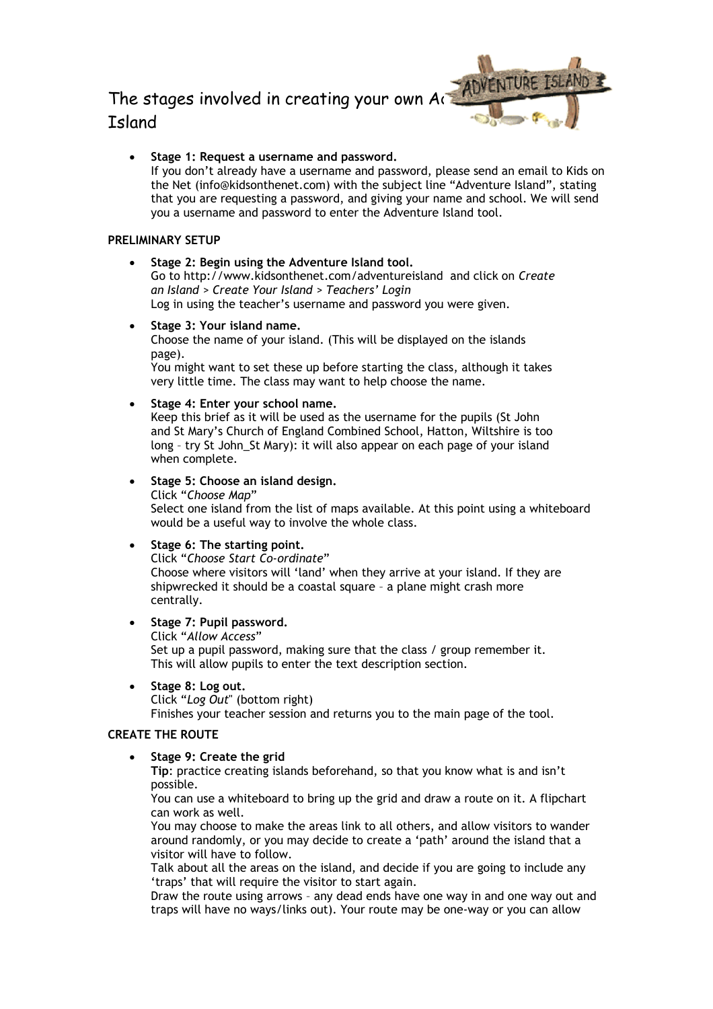# The stages involved in creating your own  $Ai$ Island



• **Stage 1: Request a username and password.**  If you don't already have a username and password, please send an email to Kids on the Net (info@kidsonthenet.com) with the subject line "Adventure Island", stating that you are requesting a password, and giving your name and school. We will send you a username and password to enter the Adventure Island tool.

### **PRELIMINARY SETUP**

• **Stage 2: Begin using the Adventure Island tool.**

Go to http://www.kidsonthenet.com/adventureisland and click on *Create an Island > Create Your Island > Teachers' Login* Log in using the teacher's username and password you were given.

• **Stage 3: Your island name.**

Choose the name of your island. (This will be displayed on the islands page).

You might want to set these up before starting the class, although it takes very little time. The class may want to help choose the name.

• **Stage 4: Enter your school name.** 

Keep this brief as it will be used as the username for the pupils (St John and St Mary's Church of England Combined School, Hatton, Wiltshire is too long – try St John\_St Mary): it will also appear on each page of your island when complete.

- **Stage 5: Choose an island design.** Click "*Choose Map*" Select one island from the list of maps available. At this point using a whiteboard would be a useful way to involve the whole class.
- **Stage 6: The starting point.**

Click "*Choose Start Co-ordinate*" Choose where visitors will 'land' when they arrive at your island. If they are shipwrecked it should be a coastal square – a plane might crash more centrally.

- **Stage 7: Pupil password.**
	- Click "*Allow Access*"

Set up a pupil password, making sure that the class / group remember it. This will allow pupils to enter the text description section.

• **Stage 8: Log out.**

Click "*Log Out*" (bottom right)

Finishes your teacher session and returns you to the main page of the tool.

## **CREATE THE ROUTE**

• **Stage 9: Create the grid**

**Tip**: practice creating islands beforehand, so that you know what is and isn't possible.

You can use a whiteboard to bring up the grid and draw a route on it. A flipchart can work as well.

You may choose to make the areas link to all others, and allow visitors to wander around randomly, or you may decide to create a 'path' around the island that a visitor will have to follow.

Talk about all the areas on the island, and decide if you are going to include any 'traps' that will require the visitor to start again.

Draw the route using arrows – any dead ends have one way in and one way out and traps will have no ways/links out). Your route may be one-way or you can allow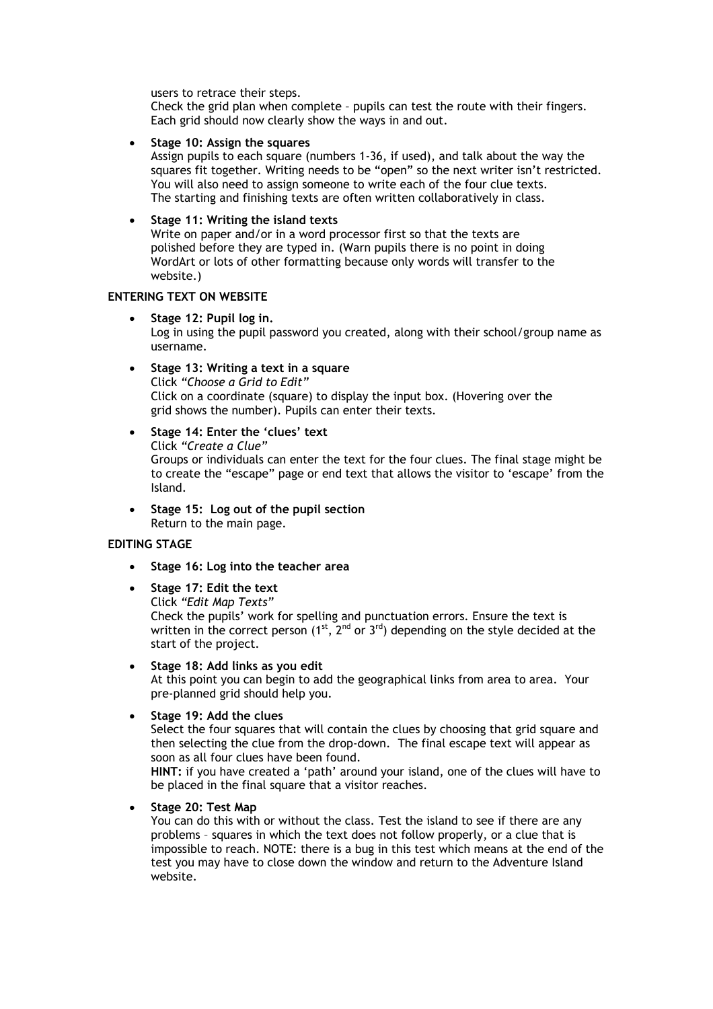users to retrace their steps.

Check the grid plan when complete – pupils can test the route with their fingers. Each grid should now clearly show the ways in and out.

• **Stage 10: Assign the squares** 

Assign pupils to each square (numbers 1-36, if used), and talk about the way the squares fit together. Writing needs to be "open" so the next writer isn't restricted. You will also need to assign someone to write each of the four clue texts. The starting and finishing texts are often written collaboratively in class.

### • **Stage 11: Writing the island texts**

Write on paper and/or in a word processor first so that the texts are polished before they are typed in. (Warn pupils there is no point in doing WordArt or lots of other formatting because only words will transfer to the website.)

### **ENTERING TEXT ON WEBSITE**

• **Stage 12: Pupil log in.** 

Log in using the pupil password you created, along with their school/group name as username.

• **Stage 13: Writing a text in a square** 

Click *"Choose a Grid to Edit"*  Click on a coordinate (square) to display the input box. (Hovering over the grid shows the number). Pupils can enter their texts.

• **Stage 14: Enter the 'clues' text**

Click *"Create a Clue"*

Groups or individuals can enter the text for the four clues. The final stage might be to create the "escape" page or end text that allows the visitor to 'escape' from the Island.

• **Stage 15: Log out of the pupil section**  Return to the main page.

### **EDITING STAGE**

- **Stage 16: Log into the teacher area**
- **Stage 17: Edit the text** Click *"Edit Map Texts"* Check the pupils' work for spelling and punctuation errors. Ensure the text is written in the correct person  $(1^{st}, 2^{nd}$  or  $3^{rd}$ ) depending on the style decided at the start of the project.

• **Stage 18: Add links as you edit** At this point you can begin to add the geographical links from area to area. Your pre-planned grid should help you.

• **Stage 19: Add the clues** 

Select the four squares that will contain the clues by choosing that grid square and then selecting the clue from the drop-down. The final escape text will appear as soon as all four clues have been found.

**HINT:** if you have created a 'path' around your island, one of the clues will have to be placed in the final square that a visitor reaches.

• **Stage 20: Test Map** 

You can do this with or without the class. Test the island to see if there are any problems – squares in which the text does not follow properly, or a clue that is impossible to reach. NOTE: there is a bug in this test which means at the end of the test you may have to close down the window and return to the Adventure Island website.